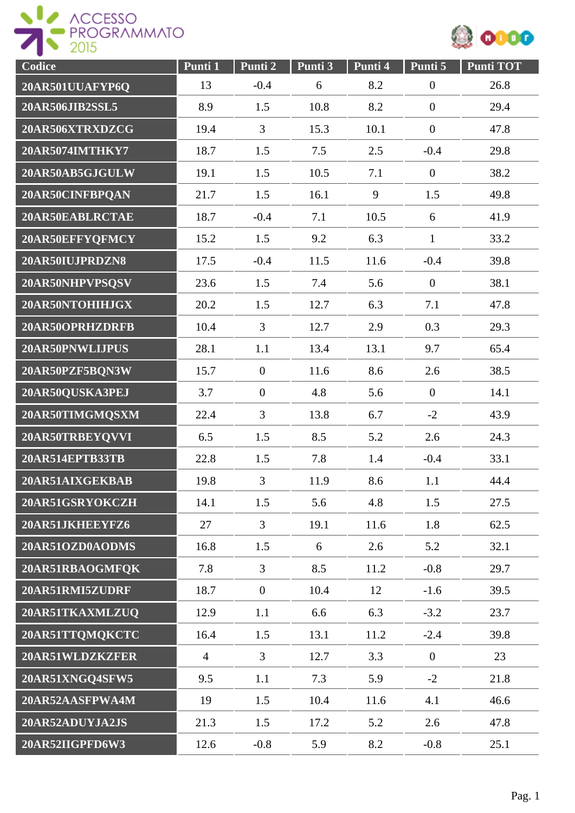



| Codice          | Punti 1        | Punti 2          | Punti 3 | Punti 4 | Punti 5          | <b>Punti TOT</b> |
|-----------------|----------------|------------------|---------|---------|------------------|------------------|
| 20AR501UUAFYP6Q | 13             | $-0.4$           | 6       | 8.2     | $\boldsymbol{0}$ | 26.8             |
| 20AR506JIB2SSL5 | 8.9            | 1.5              | 10.8    | 8.2     | $\boldsymbol{0}$ | 29.4             |
| 20AR506XTRXDZCG | 19.4           | 3                | 15.3    | 10.1    | $\boldsymbol{0}$ | 47.8             |
| 20AR5074IMTHKY7 | 18.7           | 1.5              | 7.5     | 2.5     | $-0.4$           | 29.8             |
| 20AR50AB5GJGULW | 19.1           | 1.5              | 10.5    | 7.1     | $\boldsymbol{0}$ | 38.2             |
| 20AR50CINFBPQAN | 21.7           | 1.5              | 16.1    | 9       | 1.5              | 49.8             |
| 20AR50EABLRCTAE | 18.7           | $-0.4$           | 7.1     | 10.5    | 6                | 41.9             |
| 20AR50EFFYQFMCY | 15.2           | 1.5              | 9.2     | 6.3     | $\mathbf{1}$     | 33.2             |
| 20AR50IUJPRDZN8 | 17.5           | $-0.4$           | 11.5    | 11.6    | $-0.4$           | 39.8             |
| 20AR50NHPVPSQSV | 23.6           | 1.5              | 7.4     | 5.6     | $\boldsymbol{0}$ | 38.1             |
| 20AR50NTOHIHJGX | 20.2           | 1.5              | 12.7    | 6.3     | 7.1              | 47.8             |
| 20AR50OPRHZDRFB | 10.4           | $\overline{3}$   | 12.7    | 2.9     | 0.3              | 29.3             |
| 20AR50PNWLIJPUS | 28.1           | 1.1              | 13.4    | 13.1    | 9.7              | 65.4             |
| 20AR50PZF5BQN3W | 15.7           | $\boldsymbol{0}$ | 11.6    | 8.6     | 2.6              | 38.5             |
| 20AR50QUSKA3PEJ | 3.7            | $\boldsymbol{0}$ | 4.8     | 5.6     | $\overline{0}$   | 14.1             |
| 20AR50TIMGMQSXM | 22.4           | 3                | 13.8    | 6.7     | $-2$             | 43.9             |
| 20AR50TRBEYQVVI | 6.5            | 1.5              | 8.5     | 5.2     | 2.6              | 24.3             |
| 20AR514EPTB33TB | 22.8           | 1.5              | 7.8     | 1.4     | $-0.4$           | 33.1             |
| 20AR51AIXGEKBAB | 19.8           | $\overline{3}$   | 11.9    | 8.6     | 1.1              | 44.4             |
| 20AR51GSRYOKCZH | 14.1           | 1.5              | 5.6     | 4.8     | 1.5              | 27.5             |
| 20AR51JKHEEYFZ6 | 27             | $\overline{3}$   | 19.1    | 11.6    | 1.8              | 62.5             |
| 20AR51OZD0AODMS | 16.8           | 1.5              | 6       | 2.6     | 5.2              | 32.1             |
| 20AR51RBAOGMFQK | 7.8            | $\overline{3}$   | 8.5     | 11.2    | $-0.8$           | 29.7             |
| 20AR51RMI5ZUDRF | 18.7           | $\overline{0}$   | 10.4    | 12      | $-1.6$           | 39.5             |
| 20AR51TKAXMLZUQ | 12.9           | 1.1              | 6.6     | 6.3     | $-3.2$           | 23.7             |
| 20AR51TTQMQKCTC | 16.4           | 1.5              | 13.1    | 11.2    | $-2.4$           | 39.8             |
| 20AR51WLDZKZFER | $\overline{4}$ | $\overline{3}$   | 12.7    | 3.3     | $\overline{0}$   | 23               |
| 20AR51XNGQ4SFW5 | 9.5            | 1.1              | 7.3     | 5.9     | $-2$             | 21.8             |
| 20AR52AASFPWA4M | 19             | 1.5              | 10.4    | 11.6    | 4.1              | 46.6             |
| 20AR52ADUYJA2JS | 21.3           | 1.5              | 17.2    | 5.2     | 2.6              | 47.8             |
| 20AR52IIGPFD6W3 | 12.6           | $-0.8$           | 5.9     | 8.2     | $-0.8$           | 25.1             |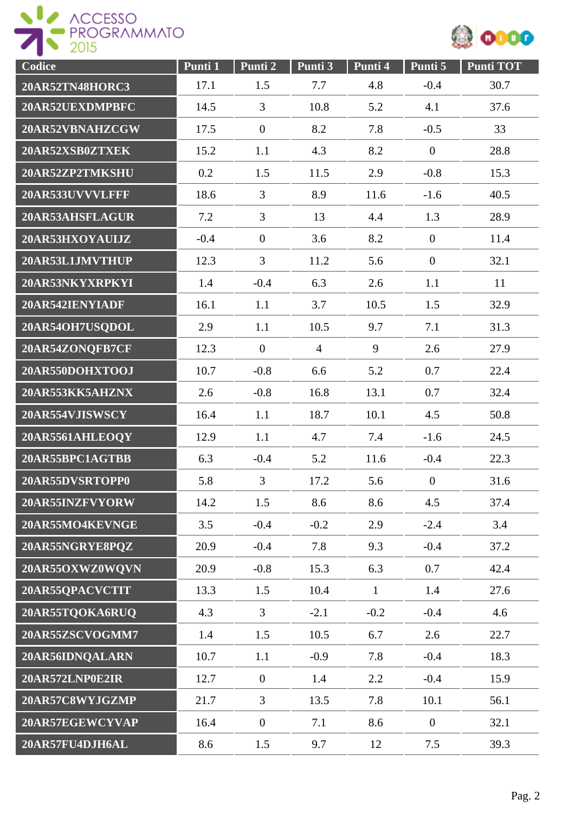



| Codice                 | Punti 1 | Punti 2          | Punti 3        | Punti 4      | Punti 5          | <b>Punti TOT</b> |
|------------------------|---------|------------------|----------------|--------------|------------------|------------------|
| <b>20AR52TN48HORC3</b> | 17.1    | 1.5              | 7.7            | 4.8          | $-0.4$           | 30.7             |
| 20AR52UEXDMPBFC        | 14.5    | 3                | 10.8           | 5.2          | 4.1              | 37.6             |
| 20AR52VBNAHZCGW        | 17.5    | $\overline{0}$   | 8.2            | 7.8          | $-0.5$           | 33               |
| 20AR52XSB0ZTXEK        | 15.2    | 1.1              | 4.3            | 8.2          | $\boldsymbol{0}$ | 28.8             |
| 20AR52ZP2TMKSHU        | 0.2     | 1.5              | 11.5           | 2.9          | $-0.8$           | 15.3             |
| 20AR533UVVVLFFF        | 18.6    | 3                | 8.9            | 11.6         | $-1.6$           | 40.5             |
| 20AR53AHSFLAGUR        | 7.2     | 3                | 13             | 4.4          | 1.3              | 28.9             |
| 20AR53HXOYAUIJZ        | $-0.4$  | $\overline{0}$   | 3.6            | 8.2          | $\boldsymbol{0}$ | 11.4             |
| 20AR53L1JMVTHUP        | 12.3    | 3                | 11.2           | 5.6          | $\overline{0}$   | 32.1             |
| 20AR53NKYXRPKYI        | 1.4     | $-0.4$           | 6.3            | 2.6          | 1.1              | 11               |
| 20AR542IENYIADF        | 16.1    | 1.1              | 3.7            | 10.5         | 1.5              | 32.9             |
| 20AR54OH7USQDOL        | 2.9     | 1.1              | 10.5           | 9.7          | 7.1              | 31.3             |
| 20AR54ZONQFB7CF        | 12.3    | $\overline{0}$   | $\overline{4}$ | 9            | 2.6              | 27.9             |
| 20AR550DOHXTOOJ        | 10.7    | $-0.8$           | 6.6            | 5.2          | 0.7              | 22.4             |
| 20AR553KK5AHZNX        | 2.6     | $-0.8$           | 16.8           | 13.1         | 0.7              | 32.4             |
| 20AR554VJISWSCY        | 16.4    | 1.1              | 18.7           | 10.1         | 4.5              | 50.8             |
| 20AR5561AHLEOQY        | 12.9    | 1.1              | 4.7            | 7.4          | $-1.6$           | 24.5             |
| 20AR55BPC1AGTBB        | 6.3     | $-0.4$           | 5.2            | 11.6         | $-0.4$           | 22.3             |
| 20AR55DVSRTOPP0        | 5.8     | 3                | 17.2           | 5.6          | $\boldsymbol{0}$ | 31.6             |
| 20AR55INZFVYORW        | 14.2    | 1.5              | 8.6            | 8.6          | 4.5              | 37.4             |
| 20AR55MO4KEVNGE        | 3.5     | $-0.4$           | $-0.2$         | 2.9          | $-2.4$           | 3.4              |
| 20AR55NGRYE8PQZ        | 20.9    | $-0.4$           | 7.8            | 9.3          | $-0.4$           | 37.2             |
| 20AR55OXWZ0WQVN        | 20.9    | $-0.8$           | 15.3           | 6.3          | 0.7              | 42.4             |
| 20AR55QPACVCTIT        | 13.3    | 1.5              | 10.4           | $\mathbf{1}$ | 1.4              | 27.6             |
| 20AR55TQOKA6RUQ        | 4.3     | $\overline{3}$   | $-2.1$         | $-0.2$       | $-0.4$           | 4.6              |
| 20AR55ZSCVOGMM7        | 1.4     | 1.5              | 10.5           | 6.7          | 2.6              | 22.7             |
| 20AR56IDNQALARN        | 10.7    | 1.1              | $-0.9$         | 7.8          | $-0.4$           | 18.3             |
| 20AR572LNP0E2IR        | 12.7    | $\boldsymbol{0}$ | 1.4            | 2.2          | $-0.4$           | 15.9             |
| 20AR57C8WYJGZMP        | 21.7    | $\overline{3}$   | 13.5           | 7.8          | 10.1             | 56.1             |
| 20AR57EGEWCYVAP        | 16.4    | $\boldsymbol{0}$ | 7.1            | 8.6          | $\boldsymbol{0}$ | 32.1             |
| 20AR57FU4DJH6AL        | 8.6     | 1.5              | 9.7            | 12           | 7.5              | 39.3             |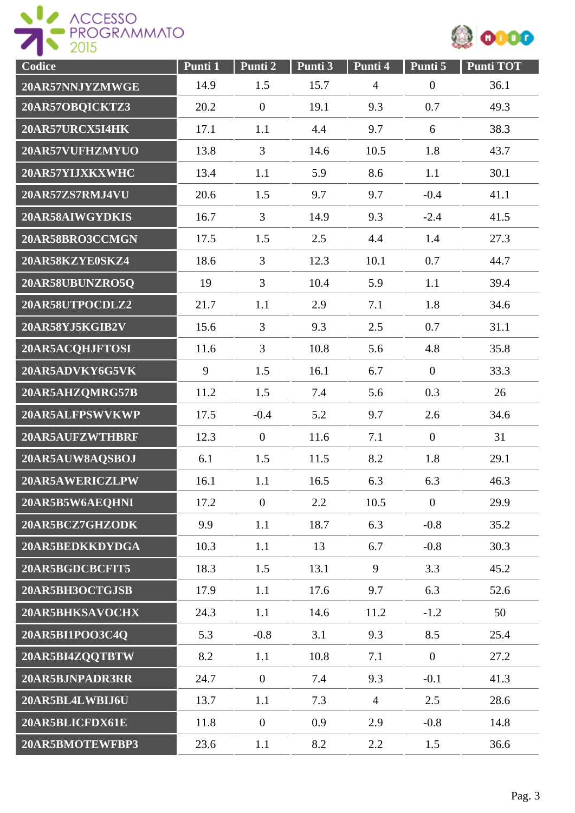



| Codice          | Punti 1 | Punti 2          | Punti 3 | Punti 4        | Punti 5          | Punti TOT |
|-----------------|---------|------------------|---------|----------------|------------------|-----------|
| 20AR57NNJYZMWGE | 14.9    | 1.5              | 15.7    | $\overline{4}$ | $\boldsymbol{0}$ | 36.1      |
| 20AR57OBQICKTZ3 | 20.2    | $\mathbf{0}$     | 19.1    | 9.3            | 0.7              | 49.3      |
| 20AR57URCX5I4HK | 17.1    | 1.1              | 4.4     | 9.7            | 6                | 38.3      |
| 20AR57VUFHZMYUO | 13.8    | 3                | 14.6    | 10.5           | 1.8              | 43.7      |
| 20AR57YIJXKXWHC | 13.4    | 1.1              | 5.9     | 8.6            | 1.1              | 30.1      |
| 20AR57ZS7RMJ4VU | 20.6    | 1.5              | 9.7     | 9.7            | $-0.4$           | 41.1      |
| 20AR58AIWGYDKIS | 16.7    | $\overline{3}$   | 14.9    | 9.3            | $-2.4$           | 41.5      |
| 20AR58BRO3CCMGN | 17.5    | 1.5              | 2.5     | 4.4            | 1.4              | 27.3      |
| 20AR58KZYE0SKZ4 | 18.6    | $\overline{3}$   | 12.3    | 10.1           | 0.7              | 44.7      |
| 20AR58UBUNZRO5Q | 19      | $\overline{3}$   | 10.4    | 5.9            | 1.1              | 39.4      |
| 20AR58UTPOCDLZ2 | 21.7    | 1.1              | 2.9     | 7.1            | 1.8              | 34.6      |
| 20AR58YJ5KGIB2V | 15.6    | $\overline{3}$   | 9.3     | 2.5            | 0.7              | 31.1      |
| 20AR5ACQHJFTOSI | 11.6    | $\overline{3}$   | 10.8    | 5.6            | 4.8              | 35.8      |
| 20AR5ADVKY6G5VK | 9       | 1.5              | 16.1    | 6.7            | $\overline{0}$   | 33.3      |
| 20AR5AHZQMRG57B | 11.2    | 1.5              | 7.4     | 5.6            | 0.3              | 26        |
| 20AR5ALFPSWVKWP | 17.5    | $-0.4$           | 5.2     | 9.7            | 2.6              | 34.6      |
| 20AR5AUFZWTHBRF | 12.3    | $\overline{0}$   | 11.6    | 7.1            | $\boldsymbol{0}$ | 31        |
| 20AR5AUW8AQSBOJ | 6.1     | 1.5              | 11.5    | 8.2            | 1.8              | 29.1      |
| 20AR5AWERICZLPW | 16.1    | 1.1              | 16.5    | 6.3            | 6.3              | 46.3      |
| 20AR5B5W6AEQHNI | 17.2    | $\overline{0}$   | 2.2     | 10.5           | $\boldsymbol{0}$ | 29.9      |
| 20AR5BCZ7GHZODK | 9.9     | 1.1              | 18.7    | 6.3            | $-0.8$           | 35.2      |
| 20AR5BEDKKDYDGA | 10.3    | 1.1              | 13      | 6.7            | $-0.8$           | 30.3      |
| 20AR5BGDCBCFIT5 | 18.3    | 1.5              | 13.1    | 9              | 3.3              | 45.2      |
| 20AR5BH3OCTGJSB | 17.9    | 1.1              | 17.6    | 9.7            | 6.3              | 52.6      |
| 20AR5BHKSAVOCHX | 24.3    | 1.1              | 14.6    | 11.2           | $-1.2$           | 50        |
| 20AR5BI1POO3C4Q | 5.3     | $-0.8$           | 3.1     | 9.3            | 8.5              | 25.4      |
| 20AR5BI4ZQQTBTW | 8.2     | 1.1              | 10.8    | 7.1            | $\overline{0}$   | 27.2      |
| 20AR5BJNPADR3RR | 24.7    | $\mathbf{0}$     | 7.4     | 9.3            | $-0.1$           | 41.3      |
| 20AR5BL4LWBIJ6U | 13.7    | 1.1              | 7.3     | $\overline{4}$ | 2.5              | 28.6      |
| 20AR5BLICFDX61E | 11.8    | $\boldsymbol{0}$ | 0.9     | 2.9            | $-0.8$           | 14.8      |
| 20AR5BMOTEWFBP3 | 23.6    | 1.1              | 8.2     | 2.2            | 1.5              | 36.6      |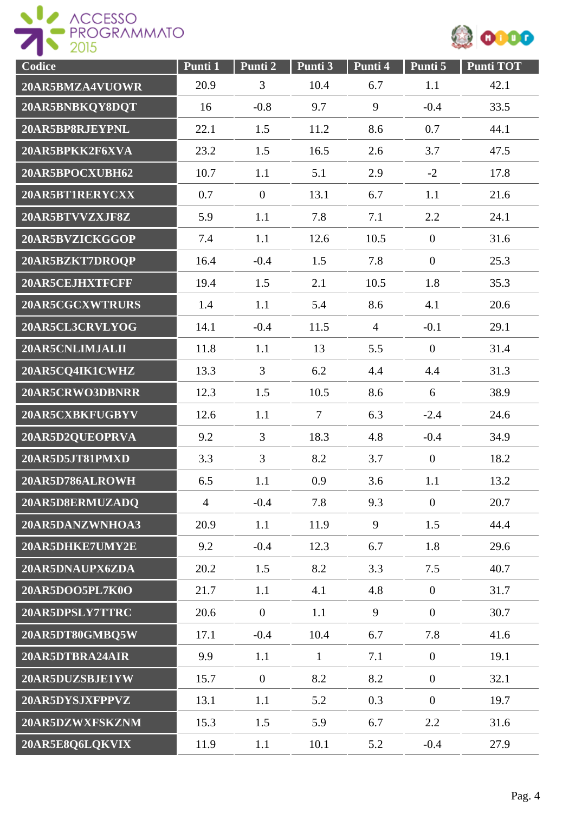



| Codice          | Punti 1        | Punti 2          | Punti 3        | Punti 4        | Punti 5        | <b>Punti TOT</b> |
|-----------------|----------------|------------------|----------------|----------------|----------------|------------------|
| 20AR5BMZA4VUOWR | 20.9           | 3                | 10.4           | 6.7            | 1.1            | 42.1             |
| 20AR5BNBKQY8DQT | 16             | $-0.8$           | 9.7            | 9              | $-0.4$         | 33.5             |
| 20AR5BP8RJEYPNL | 22.1           | 1.5              | 11.2           | 8.6            | 0.7            | 44.1             |
| 20AR5BPKK2F6XVA | 23.2           | 1.5              | 16.5           | 2.6            | 3.7            | 47.5             |
| 20AR5BPOCXUBH62 | 10.7           | 1.1              | 5.1            | 2.9            | $-2$           | 17.8             |
| 20AR5BT1RERYCXX | 0.7            | $\boldsymbol{0}$ | 13.1           | 6.7            | 1.1            | 21.6             |
| 20AR5BTVVZXJF8Z | 5.9            | 1.1              | 7.8            | 7.1            | 2.2            | 24.1             |
| 20AR5BVZICKGGOP | 7.4            | 1.1              | 12.6           | 10.5           | $\overline{0}$ | 31.6             |
| 20AR5BZKT7DROQP | 16.4           | $-0.4$           | 1.5            | 7.8            | $\overline{0}$ | 25.3             |
| 20AR5CEJHXTFCFF | 19.4           | 1.5              | 2.1            | 10.5           | 1.8            | 35.3             |
| 20AR5CGCXWTRURS | 1.4            | 1.1              | 5.4            | 8.6            | 4.1            | 20.6             |
| 20AR5CL3CRVLYOG | 14.1           | $-0.4$           | 11.5           | $\overline{4}$ | $-0.1$         | 29.1             |
| 20AR5CNLIMJALII | 11.8           | 1.1              | 13             | 5.5            | $\overline{0}$ | 31.4             |
| 20AR5CQ4IK1CWHZ | 13.3           | $\overline{3}$   | 6.2            | 4.4            | 4.4            | 31.3             |
| 20AR5CRWO3DBNRR | 12.3           | 1.5              | 10.5           | 8.6            | 6              | 38.9             |
| 20AR5CXBKFUGBYV | 12.6           | 1.1              | $\overline{7}$ | 6.3            | $-2.4$         | 24.6             |
| 20AR5D2QUEOPRVA | 9.2            | 3                | 18.3           | 4.8            | $-0.4$         | 34.9             |
| 20AR5D5JT81PMXD | 3.3            | $\overline{3}$   | 8.2            | 3.7            | $\mathbf{0}$   | 18.2             |
| 20AR5D786ALROWH | 6.5            | 1.1              | 0.9            | 3.6            | 1.1            | 13.2             |
| 20AR5D8ERMUZADQ | $\overline{4}$ | $-0.4$           | 7.8            | 9.3            | $\overline{0}$ | 20.7             |
| 20AR5DANZWNHOA3 | 20.9           | 1.1              | 11.9           | 9              | 1.5            | 44.4             |
| 20AR5DHKE7UMY2E | 9.2            | $-0.4$           | 12.3           | 6.7            | 1.8            | 29.6             |
| 20AR5DNAUPX6ZDA | 20.2           | 1.5              | 8.2            | 3.3            | 7.5            | 40.7             |
| 20AR5DOO5PL7K0O | 21.7           | 1.1              | 4.1            | 4.8            | $\mathbf{0}$   | 31.7             |
| 20AR5DPSLY7TTRC | 20.6           | $\overline{0}$   | 1.1            | 9              | $\overline{0}$ | 30.7             |
| 20AR5DT80GMBQ5W | 17.1           | $-0.4$           | 10.4           | 6.7            | 7.8            | 41.6             |
| 20AR5DTBRA24AIR | 9.9            | 1.1              | $\mathbf{1}$   | 7.1            | $\overline{0}$ | 19.1             |
| 20AR5DUZSBJE1YW | 15.7           | $\mathbf{0}$     | 8.2            | 8.2            | $\overline{0}$ | 32.1             |
| 20AR5DYSJXFPPVZ | 13.1           | 1.1              | 5.2            | 0.3            | $\overline{0}$ | 19.7             |
| 20AR5DZWXFSKZNM | 15.3           | 1.5              | 5.9            | 6.7            | 2.2            | 31.6             |
| 20AR5E8Q6LQKVIX | 11.9           | 1.1              | 10.1           | 5.2            | $-0.4$         | 27.9             |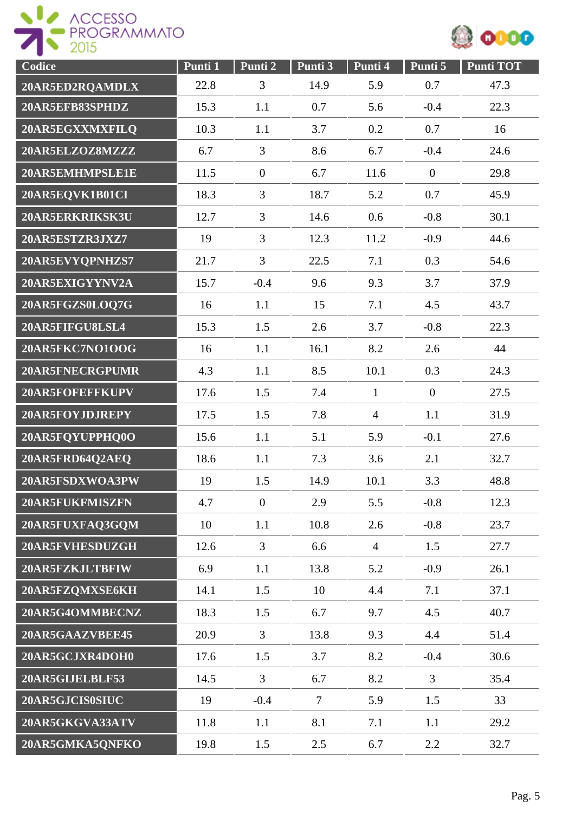



| Codice          | Punti 1 | Punti 2          | Punti 3        | Punti 4        | Punti 5          | <b>Punti TOT</b> |
|-----------------|---------|------------------|----------------|----------------|------------------|------------------|
| 20AR5ED2RQAMDLX | 22.8    | 3                | 14.9           | 5.9            | 0.7              | 47.3             |
| 20AR5EFB83SPHDZ | 15.3    | 1.1              | 0.7            | 5.6            | $-0.4$           | 22.3             |
| 20AR5EGXXMXFILQ | 10.3    | 1.1              | 3.7            | 0.2            | 0.7              | 16               |
| 20AR5ELZOZ8MZZZ | 6.7     | 3                | 8.6            | 6.7            | $-0.4$           | 24.6             |
| 20AR5EMHMPSLE1E | 11.5    | $\boldsymbol{0}$ | 6.7            | 11.6           | $\boldsymbol{0}$ | 29.8             |
| 20AR5EQVK1B01CI | 18.3    | 3                | 18.7           | 5.2            | 0.7              | 45.9             |
| 20AR5ERKRIKSK3U | 12.7    | 3                | 14.6           | 0.6            | $-0.8$           | 30.1             |
| 20AR5ESTZR3JXZ7 | 19      | 3                | 12.3           | 11.2           | $-0.9$           | 44.6             |
| 20AR5EVYQPNHZS7 | 21.7    | 3                | 22.5           | 7.1            | 0.3              | 54.6             |
| 20AR5EXIGYYNV2A | 15.7    | $-0.4$           | 9.6            | 9.3            | 3.7              | 37.9             |
| 20AR5FGZS0LOQ7G | 16      | 1.1              | 15             | 7.1            | 4.5              | 43.7             |
| 20AR5FIFGU8LSL4 | 15.3    | 1.5              | 2.6            | 3.7            | $-0.8$           | 22.3             |
| 20AR5FKC7NO1OOG | 16      | 1.1              | 16.1           | 8.2            | 2.6              | 44               |
| 20AR5FNECRGPUMR | 4.3     | 1.1              | 8.5            | 10.1           | 0.3              | 24.3             |
| 20AR5FOFEFFKUPV | 17.6    | 1.5              | 7.4            | $\mathbf{1}$   | $\overline{0}$   | 27.5             |
| 20AR5FOYJDJREPY | 17.5    | 1.5              | 7.8            | $\overline{4}$ | 1.1              | 31.9             |
| 20AR5FQYUPPHQ0O | 15.6    | 1.1              | 5.1            | 5.9            | $-0.1$           | 27.6             |
| 20AR5FRD64Q2AEQ | 18.6    | 1.1              | 7.3            | 3.6            | 2.1              | 32.7             |
| 20AR5FSDXWOA3PW | 19      | 1.5              | 14.9           | 10.1           | 3.3              | 48.8             |
| 20AR5FUKFMISZFN | 4.7     | $\overline{0}$   | 2.9            | 5.5            | $-0.8$           | 12.3             |
| 20AR5FUXFAQ3GQM | 10      | 1.1              | 10.8           | 2.6            | $-0.8$           | 23.7             |
| 20AR5FVHESDUZGH | 12.6    | $\overline{3}$   | 6.6            | $\overline{4}$ | 1.5              | 27.7             |
| 20AR5FZKJLTBFIW | 6.9     | 1.1              | 13.8           | 5.2            | $-0.9$           | 26.1             |
| 20AR5FZQMXSE6KH | 14.1    | 1.5              | 10             | 4.4            | 7.1              | 37.1             |
| 20AR5G4OMMBECNZ | 18.3    | 1.5              | 6.7            | 9.7            | 4.5              | 40.7             |
| 20AR5GAAZVBEE45 | 20.9    | $\overline{3}$   | 13.8           | 9.3            | 4.4              | 51.4             |
| 20AR5GCJXR4DOH0 | 17.6    | 1.5              | 3.7            | 8.2            | $-0.4$           | 30.6             |
| 20AR5GIJELBLF53 | 14.5    | $\overline{3}$   | 6.7            | 8.2            | 3                | 35.4             |
| 20AR5GJCIS0SIUC | 19      | $-0.4$           | $\overline{7}$ | 5.9            | 1.5              | 33               |
| 20AR5GKGVA33ATV | 11.8    | 1.1              | 8.1            | 7.1            | 1.1              | 29.2             |
| 20AR5GMKA5QNFKO | 19.8    | 1.5              | 2.5            | 6.7            | 2.2              | 32.7             |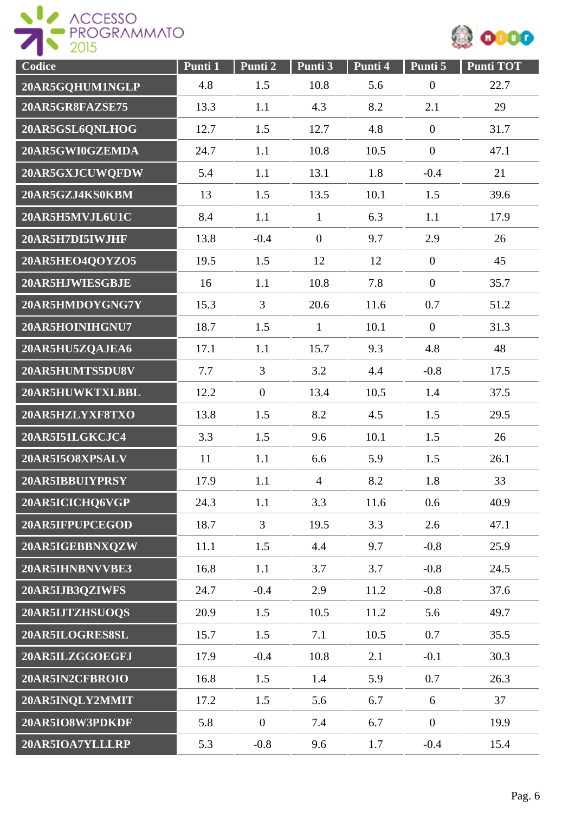



| Codice          | Punti 1 | Punti 2          | Punti 3        | Punti 4 | Punti 5          | <b>Punti TOT</b> |
|-----------------|---------|------------------|----------------|---------|------------------|------------------|
| 20AR5GQHUM1NGLP | 4.8     | 1.5              | 10.8           | 5.6     | $\boldsymbol{0}$ | 22.7             |
| 20AR5GR8FAZSE75 | 13.3    | 1.1              | 4.3            | 8.2     | 2.1              | 29               |
| 20AR5GSL6QNLHOG | 12.7    | 1.5              | 12.7           | 4.8     | $\boldsymbol{0}$ | 31.7             |
| 20AR5GWI0GZEMDA | 24.7    | 1.1              | 10.8           | 10.5    | $\boldsymbol{0}$ | 47.1             |
| 20AR5GXJCUWQFDW | 5.4     | 1.1              | 13.1           | 1.8     | $-0.4$           | 21               |
| 20AR5GZJ4KS0KBM | 13      | 1.5              | 13.5           | 10.1    | 1.5              | 39.6             |
| 20AR5H5MVJL6U1C | 8.4     | 1.1              | $\mathbf{1}$   | 6.3     | 1.1              | 17.9             |
| 20AR5H7DI5IWJHF | 13.8    | $-0.4$           | $\mathbf{0}$   | 9.7     | 2.9              | 26               |
| 20AR5HEO4QOYZO5 | 19.5    | 1.5              | 12             | 12      | $\boldsymbol{0}$ | 45               |
| 20AR5HJWIESGBJE | 16      | 1.1              | 10.8           | 7.8     | $\boldsymbol{0}$ | 35.7             |
| 20AR5HMDOYGNG7Y | 15.3    | 3                | 20.6           | 11.6    | 0.7              | 51.2             |
| 20AR5HOINIHGNU7 | 18.7    | 1.5              | $\mathbf{1}$   | 10.1    | $\overline{0}$   | 31.3             |
| 20AR5HU5ZQAJEA6 | 17.1    | 1.1              | 15.7           | 9.3     | 4.8              | 48               |
| 20AR5HUMTS5DU8V | 7.7     | $\overline{3}$   | 3.2            | 4.4     | $-0.8$           | 17.5             |
| 20AR5HUWKTXLBBL | 12.2    | $\boldsymbol{0}$ | 13.4           | 10.5    | 1.4              | 37.5             |
| 20AR5HZLYXF8TXO | 13.8    | 1.5              | 8.2            | 4.5     | 1.5              | 29.5             |
| 20AR5I51LGKCJC4 | 3.3     | 1.5              | 9.6            | 10.1    | 1.5              | 26               |
| 20AR5I5O8XPSALV | 11      | 1.1              | 6.6            | 5.9     | 1.5              | 26.1             |
| 20AR5IBBUIYPRSY | 17.9    | 1.1              | $\overline{4}$ | 8.2     | 1.8              | 33               |
| 20AR5ICICHQ6VGP | 24.3    | 1.1              | 3.3            | 11.6    | 0.6              | 40.9             |
| 20AR5IFPUPCEGOD | 18.7    | $\overline{3}$   | 19.5           | 3.3     | 2.6              | 47.1             |
| 20AR5IGEBBNXQZW | 11.1    | 1.5              | 4.4            | 9.7     | $-0.8$           | 25.9             |
| 20AR5IHNBNVVBE3 | 16.8    | 1.1              | 3.7            | 3.7     | $-0.8$           | 24.5             |
| 20AR5IJB3QZIWFS | 24.7    | $-0.4$           | 2.9            | 11.2    | $-0.8$           | 37.6             |
| 20AR5IJTZHSUOQS | 20.9    | 1.5              | 10.5           | 11.2    | 5.6              | 49.7             |
| 20AR5ILOGRES8SL | 15.7    | 1.5              | 7.1            | 10.5    | 0.7              | 35.5             |
| 20AR5ILZGGOEGFJ | 17.9    | $-0.4$           | 10.8           | 2.1     | $-0.1$           | 30.3             |
| 20AR5IN2CFBROIO | 16.8    | 1.5              | 1.4            | 5.9     | 0.7              | 26.3             |
| 20AR5INQLY2MMIT | 17.2    | 1.5              | 5.6            | 6.7     | 6                | 37               |
| 20AR5IO8W3PDKDF | 5.8     | $\boldsymbol{0}$ | 7.4            | 6.7     | $\boldsymbol{0}$ | 19.9             |
| 20AR5IOA7YLLLRP | 5.3     | $-0.8$           | 9.6            | 1.7     | $-0.4$           | 15.4             |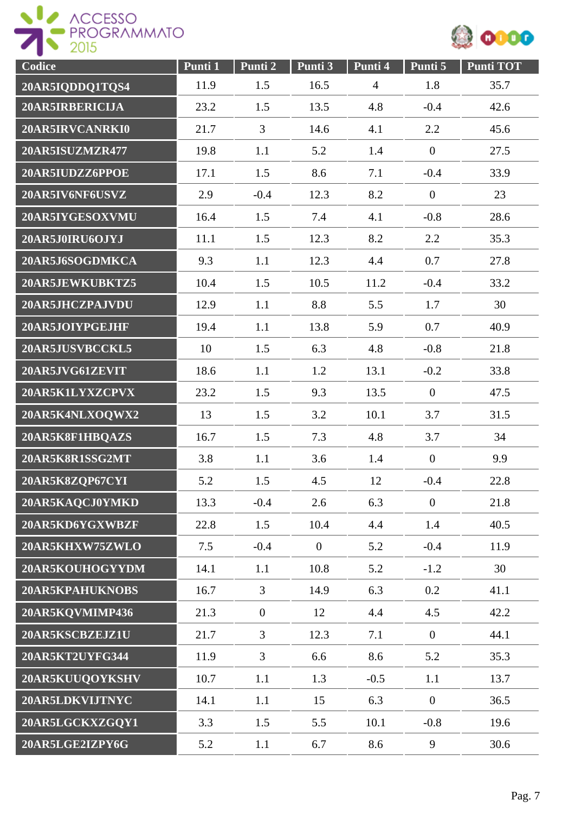



| Codice          | Punti 1 | Punti 2        | Punti 3        | Punti 4        | Punti 5          | <b>Punti TOT</b> |
|-----------------|---------|----------------|----------------|----------------|------------------|------------------|
| 20AR5IQDDQ1TQS4 | 11.9    | 1.5            | 16.5           | $\overline{4}$ | 1.8              | 35.7             |
| 20AR5IRBERICIJA | 23.2    | 1.5            | 13.5           | 4.8            | $-0.4$           | 42.6             |
| 20AR5IRVCANRKI0 | 21.7    | $\overline{3}$ | 14.6           | 4.1            | 2.2              | 45.6             |
| 20AR5ISUZMZR477 | 19.8    | 1.1            | 5.2            | 1.4            | $\boldsymbol{0}$ | 27.5             |
| 20AR5IUDZZ6PPOE | 17.1    | 1.5            | 8.6            | 7.1            | $-0.4$           | 33.9             |
| 20AR5IV6NF6USVZ | 2.9     | $-0.4$         | 12.3           | 8.2            | $\overline{0}$   | 23               |
| 20AR5IYGESOXVMU | 16.4    | 1.5            | 7.4            | 4.1            | $-0.8$           | 28.6             |
| 20AR5J0IRU6OJYJ | 11.1    | 1.5            | 12.3           | 8.2            | 2.2              | 35.3             |
| 20AR5J6SOGDMKCA | 9.3     | 1.1            | 12.3           | 4.4            | 0.7              | 27.8             |
| 20AR5JEWKUBKTZ5 | 10.4    | 1.5            | 10.5           | 11.2           | $-0.4$           | 33.2             |
| 20AR5JHCZPAJVDU | 12.9    | 1.1            | 8.8            | 5.5            | 1.7              | 30               |
| 20AR5JOIYPGEJHF | 19.4    | 1.1            | 13.8           | 5.9            | 0.7              | 40.9             |
| 20AR5JUSVBCCKL5 | 10      | 1.5            | 6.3            | 4.8            | $-0.8$           | 21.8             |
| 20AR5JVG61ZEVIT | 18.6    | 1.1            | 1.2            | 13.1           | $-0.2$           | 33.8             |
| 20AR5K1LYXZCPVX | 23.2    | 1.5            | 9.3            | 13.5           | $\overline{0}$   | 47.5             |
| 20AR5K4NLXOQWX2 | 13      | 1.5            | 3.2            | 10.1           | 3.7              | 31.5             |
| 20AR5K8F1HBQAZS | 16.7    | 1.5            | 7.3            | 4.8            | 3.7              | 34               |
| 20AR5K8R1SSG2MT | 3.8     | 1.1            | 3.6            | 1.4            | $\boldsymbol{0}$ | 9.9              |
| 20AR5K8ZQP67CYI | 5.2     | 1.5            | 4.5            | 12             | $-0.4$           | 22.8             |
| 20AR5KAQCJ0YMKD | 13.3    | $-0.4$         | 2.6            | 6.3            | $\overline{0}$   | 21.8             |
| 20AR5KD6YGXWBZF | 22.8    | 1.5            | 10.4           | 4.4            | 1.4              | 40.5             |
| 20AR5KHXW75ZWLO | 7.5     | $-0.4$         | $\overline{0}$ | 5.2            | $-0.4$           | 11.9             |
| 20AR5KOUHOGYYDM | 14.1    | 1.1            | 10.8           | 5.2            | $-1.2$           | 30               |
| 20AR5KPAHUKNOBS | 16.7    | $\mathfrak{Z}$ | 14.9           | 6.3            | 0.2              | 41.1             |
| 20AR5KOVMIMP436 | 21.3    | $\overline{0}$ | 12             | 4.4            | 4.5              | 42.2             |
| 20AR5KSCBZEJZ1U | 21.7    | $\overline{3}$ | 12.3           | 7.1            | $\overline{0}$   | 44.1             |
| 20AR5KT2UYFG344 | 11.9    | $\mathfrak{Z}$ | 6.6            | 8.6            | 5.2              | 35.3             |
| 20AR5KUUQOYKSHV | 10.7    | 1.1            | 1.3            | $-0.5$         | 1.1              | 13.7             |
| 20AR5LDKVIJTNYC | 14.1    | 1.1            | 15             | 6.3            | $\boldsymbol{0}$ | 36.5             |
| 20AR5LGCKXZGQY1 | 3.3     | 1.5            | 5.5            | 10.1           | $-0.8$           | 19.6             |
| 20AR5LGE2IZPY6G | 5.2     | 1.1            | 6.7            | 8.6            | 9                | 30.6             |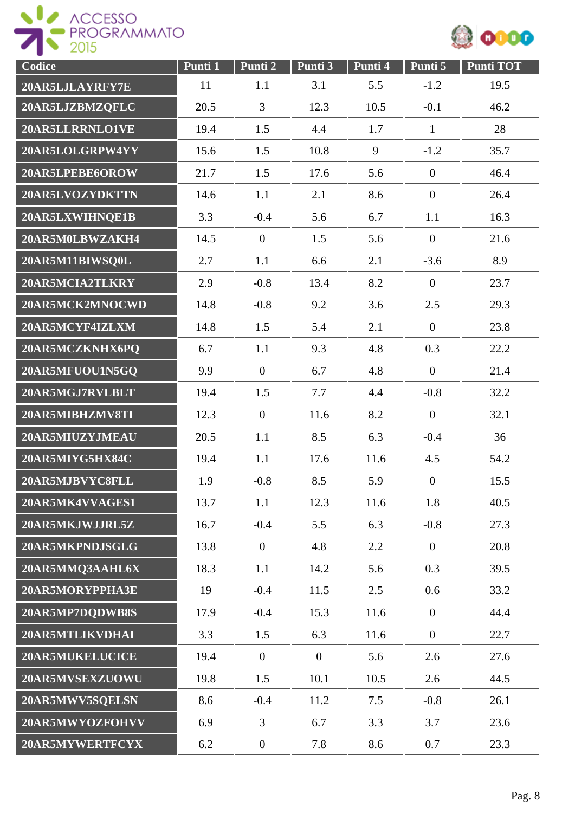



| Codice          | Punti 1 | Punti 2          | Punti 3        | Punti 4 | Punti 5          | <b>Punti TOT</b> |
|-----------------|---------|------------------|----------------|---------|------------------|------------------|
| 20AR5LJLAYRFY7E | 11      | 1.1              | 3.1            | 5.5     | $-1.2$           | 19.5             |
| 20AR5LJZBMZQFLC | 20.5    | $\overline{3}$   | 12.3           | 10.5    | $-0.1$           | 46.2             |
| 20AR5LLRRNLO1VE | 19.4    | 1.5              | 4.4            | 1.7     | $\mathbf{1}$     | 28               |
| 20AR5LOLGRPW4YY | 15.6    | 1.5              | 10.8           | 9       | $-1.2$           | 35.7             |
| 20AR5LPEBE6OROW | 21.7    | 1.5              | 17.6           | 5.6     | $\boldsymbol{0}$ | 46.4             |
| 20AR5LVOZYDKTTN | 14.6    | 1.1              | 2.1            | 8.6     | $\boldsymbol{0}$ | 26.4             |
| 20AR5LXWIHNQE1B | 3.3     | $-0.4$           | 5.6            | 6.7     | 1.1              | 16.3             |
| 20AR5M0LBWZAKH4 | 14.5    | $\overline{0}$   | 1.5            | 5.6     | $\boldsymbol{0}$ | 21.6             |
| 20AR5M11BIWSQ0L | 2.7     | 1.1              | 6.6            | 2.1     | $-3.6$           | 8.9              |
| 20AR5MCIA2TLKRY | 2.9     | $-0.8$           | 13.4           | 8.2     | $\overline{0}$   | 23.7             |
| 20AR5MCK2MNOCWD | 14.8    | $-0.8$           | 9.2            | 3.6     | 2.5              | 29.3             |
| 20AR5MCYF4IZLXM | 14.8    | 1.5              | 5.4            | 2.1     | $\theta$         | 23.8             |
| 20AR5MCZKNHX6PQ | 6.7     | 1.1              | 9.3            | 4.8     | 0.3              | 22.2             |
| 20AR5MFUOU1N5GQ | 9.9     | $\mathbf{0}$     | 6.7            | 4.8     | $\overline{0}$   | 21.4             |
| 20AR5MGJ7RVLBLT | 19.4    | 1.5              | 7.7            | 4.4     | $-0.8$           | 32.2             |
| 20AR5MIBHZMV8TI | 12.3    | $\mathbf{0}$     | 11.6           | 8.2     | $\boldsymbol{0}$ | 32.1             |
| 20AR5MIUZYJMEAU | 20.5    | 1.1              | 8.5            | 6.3     | $-0.4$           | 36               |
| 20AR5MIYG5HX84C | 19.4    | 1.1              | 17.6           | 11.6    | 4.5              | 54.2             |
| 20AR5MJBVYC8FLL | 1.9     | $-0.8$           | 8.5            | 5.9     | $\overline{0}$   | 15.5             |
| 20AR5MK4VVAGES1 | 13.7    | 1.1              | 12.3           | 11.6    | 1.8              | 40.5             |
| 20AR5MKJWJJRL5Z | 16.7    | $-0.4$           | 5.5            | 6.3     | $-0.8$           | 27.3             |
| 20AR5MKPNDJSGLG | 13.8    | $\boldsymbol{0}$ | 4.8            | 2.2     | $\overline{0}$   | 20.8             |
| 20AR5MMQ3AAHL6X | 18.3    | 1.1              | 14.2           | 5.6     | 0.3              | 39.5             |
| 20AR5MORYPPHA3E | 19      | $-0.4$           | 11.5           | 2.5     | 0.6              | 33.2             |
| 20AR5MP7DQDWB8S | 17.9    | $-0.4$           | 15.3           | 11.6    | $\overline{0}$   | 44.4             |
| 20AR5MTLIKVDHAI | 3.3     | 1.5              | 6.3            | 11.6    | $\overline{0}$   | 22.7             |
| 20AR5MUKELUCICE | 19.4    | $\mathbf{0}$     | $\overline{0}$ | 5.6     | 2.6              | 27.6             |
| 20AR5MVSEXZUOWU | 19.8    | 1.5              | 10.1           | 10.5    | 2.6              | 44.5             |
| 20AR5MWV5SQELSN | 8.6     | $-0.4$           | 11.2           | 7.5     | $-0.8$           | 26.1             |
| 20AR5MWYOZFOHVV | 6.9     | $\overline{3}$   | 6.7            | 3.3     | 3.7              | 23.6             |
| 20AR5MYWERTFCYX | 6.2     | $\boldsymbol{0}$ | 7.8            | 8.6     | 0.7              | 23.3             |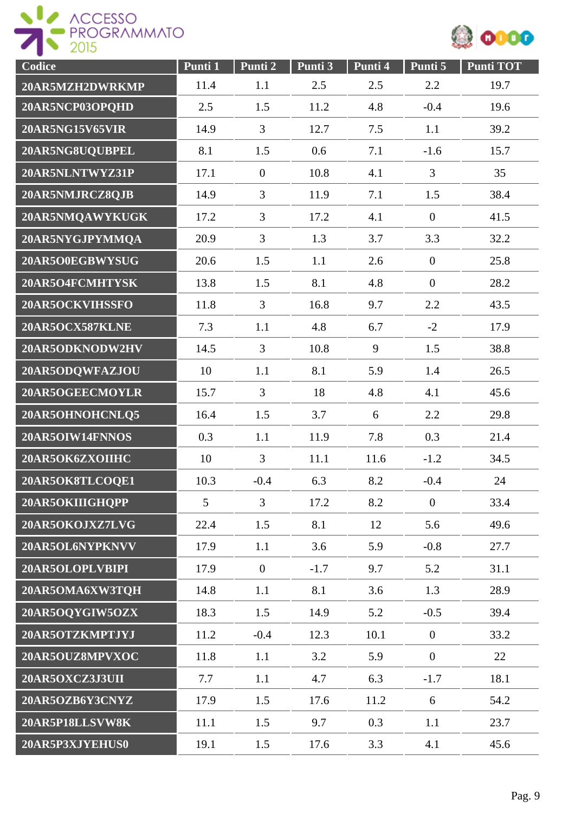



| Codice          | Punti 1 | Punti 2        | Punti 3 | Punti 4 | Punti 5          | <b>Punti TOT</b> |
|-----------------|---------|----------------|---------|---------|------------------|------------------|
| 20AR5MZH2DWRKMP | 11.4    | 1.1            | 2.5     | 2.5     | 2.2              | 19.7             |
| 20AR5NCP03OPQHD | 2.5     | 1.5            | 11.2    | 4.8     | $-0.4$           | 19.6             |
| 20AR5NG15V65VIR | 14.9    | $\overline{3}$ | 12.7    | 7.5     | 1.1              | 39.2             |
| 20AR5NG8UQUBPEL | 8.1     | 1.5            | 0.6     | 7.1     | $-1.6$           | 15.7             |
| 20AR5NLNTWYZ31P | 17.1    | $\overline{0}$ | 10.8    | 4.1     | 3                | 35               |
| 20AR5NMJRCZ8QJB | 14.9    | $\overline{3}$ | 11.9    | 7.1     | 1.5              | 38.4             |
| 20AR5NMQAWYKUGK | 17.2    | $\overline{3}$ | 17.2    | 4.1     | $\boldsymbol{0}$ | 41.5             |
| 20AR5NYGJPYMMQA | 20.9    | $\overline{3}$ | 1.3     | 3.7     | 3.3              | 32.2             |
| 20AR5O0EGBWYSUG | 20.6    | 1.5            | 1.1     | 2.6     | $\boldsymbol{0}$ | 25.8             |
| 20AR5O4FCMHTYSK | 13.8    | 1.5            | 8.1     | 4.8     | $\boldsymbol{0}$ | 28.2             |
| 20AR5OCKVIHSSFO | 11.8    | $\overline{3}$ | 16.8    | 9.7     | 2.2              | 43.5             |
| 20AR5OCX587KLNE | 7.3     | 1.1            | 4.8     | 6.7     | $-2$             | 17.9             |
| 20AR5ODKNODW2HV | 14.5    | $\overline{3}$ | 10.8    | 9       | 1.5              | 38.8             |
| 20AR5ODQWFAZJOU | 10      | 1.1            | 8.1     | 5.9     | 1.4              | 26.5             |
| 20AR5OGEECMOYLR | 15.7    | $\overline{3}$ | 18      | 4.8     | 4.1              | 45.6             |
| 20AR5OHNOHCNLQ5 | 16.4    | 1.5            | 3.7     | 6       | 2.2              | 29.8             |
| 20AR5OIW14FNNOS | 0.3     | 1.1            | 11.9    | 7.8     | 0.3              | 21.4             |
| 20AR5OK6ZXOIIHC | 10      | $\overline{3}$ | 11.1    | 11.6    | $-1.2$           | 34.5             |
| 20AR5OK8TLCOQE1 | 10.3    | $-0.4$         | 6.3     | 8.2     | $-0.4$           | 24               |
| 20AR5OKIIIGHQPP | 5       | $\overline{3}$ | 17.2    | 8.2     | $\boldsymbol{0}$ | 33.4             |
| 20AR5OKOJXZ7LVG | 22.4    | 1.5            | 8.1     | 12      | 5.6              | 49.6             |
| 20AR5OL6NYPKNVV | 17.9    | 1.1            | 3.6     | 5.9     | $-0.8$           | 27.7             |
| 20AR5OLOPLVBIPI | 17.9    | $\mathbf{0}$   | $-1.7$  | 9.7     | 5.2              | 31.1             |
| 20AR5OMA6XW3TQH | 14.8    | 1.1            | 8.1     | 3.6     | 1.3              | 28.9             |
| 20AR5OQYGIW5OZX | 18.3    | 1.5            | 14.9    | 5.2     | $-0.5$           | 39.4             |
| 20AR5OTZKMPTJYJ | 11.2    | $-0.4$         | 12.3    | 10.1    | $\overline{0}$   | 33.2             |
| 20AR5OUZ8MPVXOC | 11.8    | 1.1            | 3.2     | 5.9     | $\overline{0}$   | 22               |
| 20AR5OXCZ3J3UII | 7.7     | 1.1            | 4.7     | 6.3     | $-1.7$           | 18.1             |
| 20AR5OZB6Y3CNYZ | 17.9    | 1.5            | 17.6    | 11.2    | 6                | 54.2             |
| 20AR5P18LLSVW8K | 11.1    | 1.5            | 9.7     | 0.3     | 1.1              | 23.7             |
| 20AR5P3XJYEHUS0 | 19.1    | 1.5            | 17.6    | 3.3     | 4.1              | 45.6             |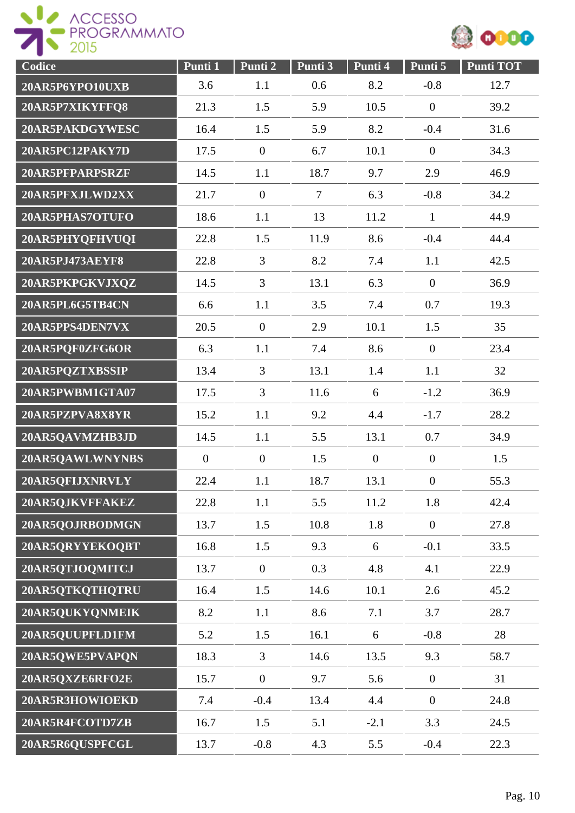



| Codice          | Punti 1        | Punti 2          | Punti 3        | Punti 4        | Punti 5          | <b>Punti TOT</b> |
|-----------------|----------------|------------------|----------------|----------------|------------------|------------------|
| 20AR5P6YPO10UXB | 3.6            | 1.1              | 0.6            | 8.2            | $-0.8$           | 12.7             |
| 20AR5P7XIKYFFQ8 | 21.3           | 1.5              | 5.9            | 10.5           | $\overline{0}$   | 39.2             |
| 20AR5PAKDGYWESC | 16.4           | 1.5              | 5.9            | 8.2            | $-0.4$           | 31.6             |
| 20AR5PC12PAKY7D | 17.5           | $\boldsymbol{0}$ | 6.7            | 10.1           | $\boldsymbol{0}$ | 34.3             |
| 20AR5PFPARPSRZF | 14.5           | 1.1              | 18.7           | 9.7            | 2.9              | 46.9             |
| 20AR5PFXJLWD2XX | 21.7           | $\boldsymbol{0}$ | $\overline{7}$ | 6.3            | $-0.8$           | 34.2             |
| 20AR5PHAS7OTUFO | 18.6           | 1.1              | 13             | 11.2           | $\mathbf{1}$     | 44.9             |
| 20AR5PHYQFHVUQI | 22.8           | 1.5              | 11.9           | 8.6            | $-0.4$           | 44.4             |
| 20AR5PJ473AEYF8 | 22.8           | 3                | 8.2            | 7.4            | 1.1              | 42.5             |
| 20AR5PKPGKVJXQZ | 14.5           | $\overline{3}$   | 13.1           | 6.3            | $\boldsymbol{0}$ | 36.9             |
| 20AR5PL6G5TB4CN | 6.6            | 1.1              | 3.5            | 7.4            | 0.7              | 19.3             |
| 20AR5PPS4DEN7VX | 20.5           | $\mathbf{0}$     | 2.9            | 10.1           | 1.5              | 35               |
| 20AR5PQF0ZFG6OR | 6.3            | 1.1              | 7.4            | 8.6            | $\overline{0}$   | 23.4             |
| 20AR5PQZTXBSSIP | 13.4           | $\overline{3}$   | 13.1           | 1.4            | 1.1              | 32               |
| 20AR5PWBM1GTA07 | 17.5           | $\overline{3}$   | 11.6           | 6              | $-1.2$           | 36.9             |
| 20AR5PZPVA8X8YR | 15.2           | 1.1              | 9.2            | 4.4            | $-1.7$           | 28.2             |
| 20AR5QAVMZHB3JD | 14.5           | 1.1              | 5.5            | 13.1           | 0.7              | 34.9             |
| 20AR5QAWLWNYNBS | $\overline{0}$ | $\overline{0}$   | 1.5            | $\overline{0}$ | $\overline{0}$   | 1.5              |
| 20AR5QFIJXNRVLY | 22.4           | 1.1              | 18.7           | 13.1           | $\overline{0}$   | 55.3             |
| 20AR5QJKVFFAKEZ | 22.8           | 1.1              | 5.5            | 11.2           | 1.8              | 42.4             |
| 20AR5QOJRBODMGN | 13.7           | 1.5              | 10.8           | 1.8            | $\overline{0}$   | 27.8             |
| 20AR5QRYYEKOQBT | 16.8           | 1.5              | 9.3            | 6              | $-0.1$           | 33.5             |
| 20AR5QTJOQMITCJ | 13.7           | $\overline{0}$   | 0.3            | 4.8            | 4.1              | 22.9             |
| 20AR5QTKQTHQTRU | 16.4           | 1.5              | 14.6           | 10.1           | 2.6              | 45.2             |
| 20AR5QUKYQNMEIK | 8.2            | 1.1              | 8.6            | 7.1            | 3.7              | 28.7             |
| 20AR5QUUPFLD1FM | 5.2            | 1.5              | 16.1           | 6              | $-0.8$           | 28               |
| 20AR5QWE5PVAPQN | 18.3           | $\mathfrak{Z}$   | 14.6           | 13.5           | 9.3              | 58.7             |
| 20AR5QXZE6RFO2E | 15.7           | $\boldsymbol{0}$ | 9.7            | 5.6            | $\boldsymbol{0}$ | 31               |
| 20AR5R3HOWIOEKD | 7.4            | $-0.4$           | 13.4           | 4.4            | $\boldsymbol{0}$ | 24.8             |
| 20AR5R4FCOTD7ZB | 16.7           | 1.5              | 5.1            | $-2.1$         | 3.3              | 24.5             |
| 20AR5R6QUSPFCGL | 13.7           | $-0.8$           | 4.3            | 5.5            | $-0.4$           | 22.3             |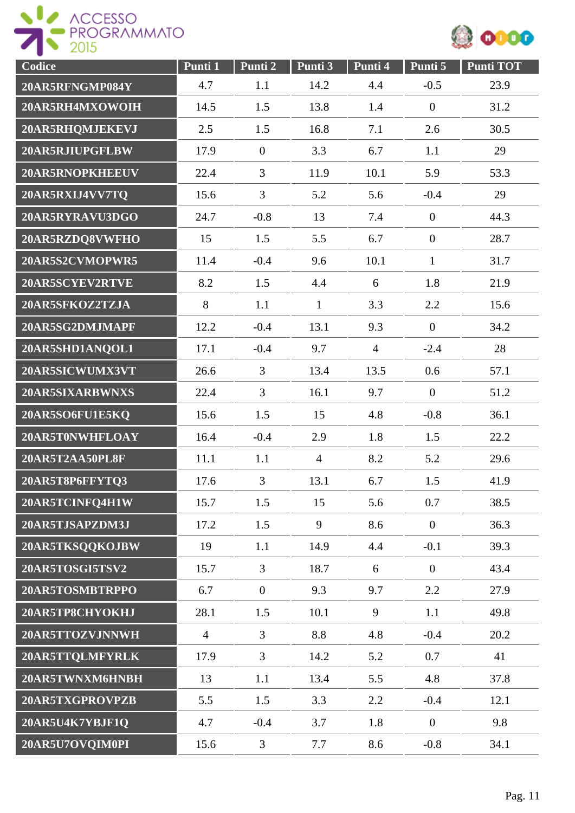



| Codice          | Punti 1        | Punti 2          | Punti 3        | Punti 4        | Punti 5        | <b>Punti TOT</b> |
|-----------------|----------------|------------------|----------------|----------------|----------------|------------------|
| 20AR5RFNGMP084Y | 4.7            | 1.1              | 14.2           | 4.4            | $-0.5$         | 23.9             |
| 20AR5RH4MXOWOIH | 14.5           | 1.5              | 13.8           | 1.4            | $\mathbf{0}$   | 31.2             |
| 20AR5RHQMJEKEVJ | 2.5            | 1.5              | 16.8           | 7.1            | 2.6            | 30.5             |
| 20AR5RJIUPGFLBW | 17.9           | $\boldsymbol{0}$ | 3.3            | 6.7            | 1.1            | 29               |
| 20AR5RNOPKHEEUV | 22.4           | $\overline{3}$   | 11.9           | 10.1           | 5.9            | 53.3             |
| 20AR5RXIJ4VV7TQ | 15.6           | 3                | 5.2            | 5.6            | $-0.4$         | 29               |
| 20AR5RYRAVU3DGO | 24.7           | $-0.8$           | 13             | 7.4            | $\mathbf{0}$   | 44.3             |
| 20AR5RZDQ8VWFHO | 15             | 1.5              | 5.5            | 6.7            | $\mathbf{0}$   | 28.7             |
| 20AR5S2CVMOPWR5 | 11.4           | $-0.4$           | 9.6            | 10.1           | $\mathbf{1}$   | 31.7             |
| 20AR5SCYEV2RTVE | 8.2            | 1.5              | 4.4            | 6              | 1.8            | 21.9             |
| 20AR5SFKOZ2TZJA | 8              | 1.1              | $\mathbf{1}$   | 3.3            | 2.2            | 15.6             |
| 20AR5SG2DMJMAPF | 12.2           | $-0.4$           | 13.1           | 9.3            | $\overline{0}$ | 34.2             |
| 20AR5SHD1ANQOL1 | 17.1           | $-0.4$           | 9.7            | $\overline{4}$ | $-2.4$         | 28               |
| 20AR5SICWUMX3VT | 26.6           | 3                | 13.4           | 13.5           | 0.6            | 57.1             |
| 20AR5SIXARBWNXS | 22.4           | $\overline{3}$   | 16.1           | 9.7            | $\mathbf{0}$   | 51.2             |
| 20AR5SO6FU1E5KQ | 15.6           | 1.5              | 15             | 4.8            | $-0.8$         | 36.1             |
| 20AR5T0NWHFLOAY | 16.4           | $-0.4$           | 2.9            | 1.8            | 1.5            | 22.2             |
| 20AR5T2AA50PL8F | 11.1           | 1.1              | $\overline{4}$ | 8.2            | 5.2            | 29.6             |
| 20AR5T8P6FFYTQ3 | 17.6           | 3                | 13.1           | 6.7            | 1.5            | 41.9             |
| 20AR5TCINFQ4H1W | 15.7           | 1.5              | 15             | 5.6            | 0.7            | 38.5             |
| 20AR5TJSAPZDM3J | 17.2           | 1.5              | 9              | 8.6            | $\mathbf{0}$   | 36.3             |
| 20AR5TKSQQKOJBW | 19             | 1.1              | 14.9           | 4.4            | $-0.1$         | 39.3             |
| 20AR5TOSGI5TSV2 | 15.7           | $\overline{3}$   | 18.7           | 6              | $\overline{0}$ | 43.4             |
| 20AR5TOSMBTRPPO | 6.7            | $\overline{0}$   | 9.3            | 9.7            | 2.2            | 27.9             |
| 20AR5TP8CHYOKHJ | 28.1           | 1.5              | 10.1           | 9              | 1.1            | 49.8             |
| 20AR5TTOZVJNNWH | $\overline{4}$ | $\overline{3}$   | 8.8            | 4.8            | $-0.4$         | 20.2             |
| 20AR5TTQLMFYRLK | 17.9           | $\overline{3}$   | 14.2           | 5.2            | 0.7            | 41               |
| 20AR5TWNXM6HNBH | 13             | 1.1              | 13.4           | 5.5            | 4.8            | 37.8             |
| 20AR5TXGPROVPZB | 5.5            | 1.5              | 3.3            | 2.2            | $-0.4$         | 12.1             |
| 20AR5U4K7YBJF1Q | 4.7            | $-0.4$           | 3.7            | 1.8            | $\mathbf{0}$   | 9.8              |
| 20AR5U7OVQIM0PI | 15.6           | 3                | 7.7            | 8.6            | $-0.8$         | 34.1             |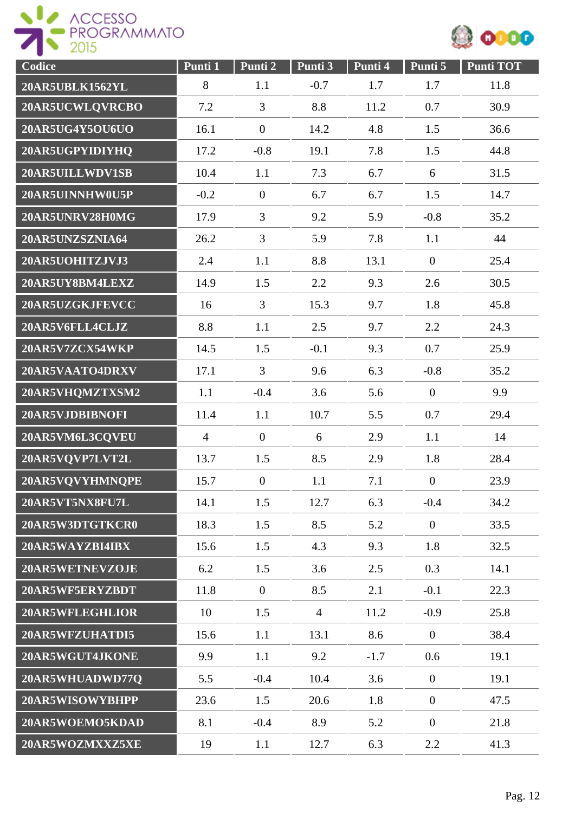



| Codice          | Punti 1        | Punti <sub>2</sub> | Punti 3        | Punti 4 | Punti 5          | <b>Punti TOT</b> |
|-----------------|----------------|--------------------|----------------|---------|------------------|------------------|
| 20AR5UBLK1562YL | 8              | 1.1                | $-0.7$         | 1.7     | 1.7              | 11.8             |
| 20AR5UCWLQVRCBO | 7.2            | 3                  | 8.8            | 11.2    | 0.7              | 30.9             |
| 20AR5UG4Y5OU6UO | 16.1           | $\boldsymbol{0}$   | 14.2           | 4.8     | 1.5              | 36.6             |
| 20AR5UGPYIDIYHQ | 17.2           | $-0.8$             | 19.1           | 7.8     | 1.5              | 44.8             |
| 20AR5UILLWDV1SB | 10.4           | 1.1                | 7.3            | 6.7     | 6                | 31.5             |
| 20AR5UINNHW0U5P | $-0.2$         | $\overline{0}$     | 6.7            | 6.7     | 1.5              | 14.7             |
| 20AR5UNRV28H0MG | 17.9           | 3                  | 9.2            | 5.9     | $-0.8$           | 35.2             |
| 20AR5UNZSZNIA64 | 26.2           | 3                  | 5.9            | 7.8     | 1.1              | 44               |
| 20AR5UOHITZJVJ3 | 2.4            | 1.1                | 8.8            | 13.1    | $\overline{0}$   | 25.4             |
| 20AR5UY8BM4LEXZ | 14.9           | 1.5                | 2.2            | 9.3     | 2.6              | 30.5             |
| 20AR5UZGKJFEVCC | 16             | $\overline{3}$     | 15.3           | 9.7     | 1.8              | 45.8             |
| 20AR5V6FLL4CLJZ | 8.8            | 1.1                | 2.5            | 9.7     | 2.2              | 24.3             |
| 20AR5V7ZCX54WKP | 14.5           | 1.5                | $-0.1$         | 9.3     | 0.7              | 25.9             |
| 20AR5VAATO4DRXV | 17.1           | $\overline{3}$     | 9.6            | 6.3     | $-0.8$           | 35.2             |
| 20AR5VHQMZTXSM2 | 1.1            | $-0.4$             | 3.6            | 5.6     | $\overline{0}$   | 9.9              |
| 20AR5VJDBIBNOFI | 11.4           | 1.1                | 10.7           | 5.5     | 0.7              | 29.4             |
| 20AR5VM6L3CQVEU | $\overline{4}$ | $\boldsymbol{0}$   | 6              | 2.9     | 1.1              | 14               |
| 20AR5VQVP7LVT2L | 13.7           | 1.5                | 8.5            | 2.9     | 1.8              | 28.4             |
| 20AR5VQVYHMNQPE | 15.7           | $\overline{0}$     | 1.1            | 7.1     | $\boldsymbol{0}$ | 23.9             |
| 20AR5VT5NX8FU7L | 14.1           | 1.5                | 12.7           | 6.3     | $-0.4$           | 34.2             |
| 20AR5W3DTGTKCR0 | 18.3           | 1.5                | 8.5            | 5.2     | $\overline{0}$   | 33.5             |
| 20AR5WAYZBI4IBX | 15.6           | 1.5                | 4.3            | 9.3     | 1.8              | 32.5             |
| 20AR5WETNEVZOJE | 6.2            | 1.5                | 3.6            | 2.5     | 0.3              | 14.1             |
| 20AR5WF5ERYZBDT | 11.8           | $\overline{0}$     | 8.5            | 2.1     | $-0.1$           | 22.3             |
| 20AR5WFLEGHLIOR | 10             | 1.5                | $\overline{4}$ | 11.2    | $-0.9$           | 25.8             |
| 20AR5WFZUHATDI5 | 15.6           | 1.1                | 13.1           | 8.6     | $\overline{0}$   | 38.4             |
| 20AR5WGUT4JKONE | 9.9            | 1.1                | 9.2            | $-1.7$  | 0.6              | 19.1             |
| 20AR5WHUADWD77Q | 5.5            | $-0.4$             | 10.4           | 3.6     | $\boldsymbol{0}$ | 19.1             |
| 20AR5WISOWYBHPP | 23.6           | 1.5                | 20.6           | 1.8     | $\boldsymbol{0}$ | 47.5             |
| 20AR5WOEMO5KDAD | 8.1            | $-0.4$             | 8.9            | 5.2     | $\overline{0}$   | 21.8             |
| 20AR5WOZMXXZ5XE | 19             | 1.1                | 12.7           | 6.3     | 2.2              | 41.3             |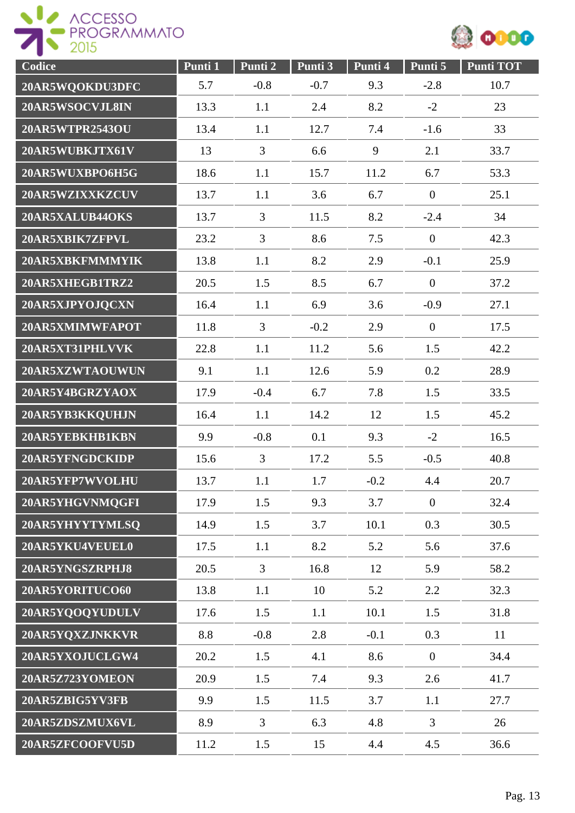



| Codice                 | Punti 1 | Punti 2        | Punti 3 | Punti 4 | Punti 5          | Punti TOT |
|------------------------|---------|----------------|---------|---------|------------------|-----------|
| 20AR5WQOKDU3DFC        | 5.7     | $-0.8$         | $-0.7$  | 9.3     | $-2.8$           | 10.7      |
| 20AR5WSOCVJL8IN        | 13.3    | 1.1            | 2.4     | 8.2     | $-2$             | 23        |
| <b>20AR5WTPR2543OU</b> | 13.4    | 1.1            | 12.7    | 7.4     | $-1.6$           | 33        |
| 20AR5WUBKJTX61V        | 13      | 3              | 6.6     | 9       | 2.1              | 33.7      |
| 20AR5WUXBPO6H5G        | 18.6    | 1.1            | 15.7    | 11.2    | 6.7              | 53.3      |
| 20AR5WZIXXKZCUV        | 13.7    | 1.1            | 3.6     | 6.7     | $\boldsymbol{0}$ | 25.1      |
| 20AR5XALUB44OKS        | 13.7    | 3              | 11.5    | 8.2     | $-2.4$           | 34        |
| 20AR5XBIK7ZFPVL        | 23.2    | $\overline{3}$ | 8.6     | 7.5     | $\mathbf{0}$     | 42.3      |
| 20AR5XBKFMMMYIK        | 13.8    | 1.1            | 8.2     | 2.9     | $-0.1$           | 25.9      |
| 20AR5XHEGB1TRZ2        | 20.5    | 1.5            | 8.5     | 6.7     | $\overline{0}$   | 37.2      |
| 20AR5XJPYOJQCXN        | 16.4    | 1.1            | 6.9     | 3.6     | $-0.9$           | 27.1      |
| 20AR5XMIMWFAPOT        | 11.8    | 3              | $-0.2$  | 2.9     | $\overline{0}$   | 17.5      |
| 20AR5XT31PHLVVK        | 22.8    | 1.1            | 11.2    | 5.6     | 1.5              | 42.2      |
| 20AR5XZWTAOUWUN        | 9.1     | 1.1            | 12.6    | 5.9     | 0.2              | 28.9      |
| 20AR5Y4BGRZYAOX        | 17.9    | $-0.4$         | 6.7     | 7.8     | 1.5              | 33.5      |
| 20AR5YB3KKQUHJN        | 16.4    | 1.1            | 14.2    | 12      | 1.5              | 45.2      |
| 20AR5YEBKHB1KBN        | 9.9     | $-0.8$         | 0.1     | 9.3     | $-2$             | 16.5      |
| 20AR5YFNGDCKIDP        | 15.6    | $\overline{3}$ | 17.2    | 5.5     | $-0.5$           | 40.8      |
| 20AR5YFP7WVOLHU        | 13.7    | 1.1            | 1.7     | $-0.2$  | 4.4              | 20.7      |
| 20AR5YHGVNMQGFI        | 17.9    | 1.5            | 9.3     | 3.7     | $\boldsymbol{0}$ | 32.4      |
| 20AR5YHYYTYMLSQ        | 14.9    | 1.5            | 3.7     | 10.1    | 0.3              | 30.5      |
| 20AR5YKU4VEUEL0        | 17.5    | 1.1            | 8.2     | 5.2     | 5.6              | 37.6      |
| 20AR5YNGSZRPHJ8        | 20.5    | $\overline{3}$ | 16.8    | 12      | 5.9              | 58.2      |
| 20AR5YORITUCO60        | 13.8    | 1.1            | 10      | 5.2     | 2.2              | 32.3      |
| 20AR5YQOQYUDULV        | 17.6    | 1.5            | 1.1     | 10.1    | 1.5              | 31.8      |
| 20AR5YQXZJNKKVR        | 8.8     | $-0.8$         | 2.8     | $-0.1$  | 0.3              | 11        |
| 20AR5YXOJUCLGW4        | 20.2    | 1.5            | 4.1     | 8.6     | $\mathbf{0}$     | 34.4      |
| 20AR5Z723YOMEON        | 20.9    | 1.5            | 7.4     | 9.3     | 2.6              | 41.7      |
| 20AR5ZBIG5YV3FB        | 9.9     | 1.5            | 11.5    | 3.7     | 1.1              | 27.7      |
| 20AR5ZDSZMUX6VL        | 8.9     | $\overline{3}$ | 6.3     | 4.8     | 3                | 26        |
| 20AR5ZFCOOFVU5D        | 11.2    | 1.5            | 15      | 4.4     | 4.5              | 36.6      |